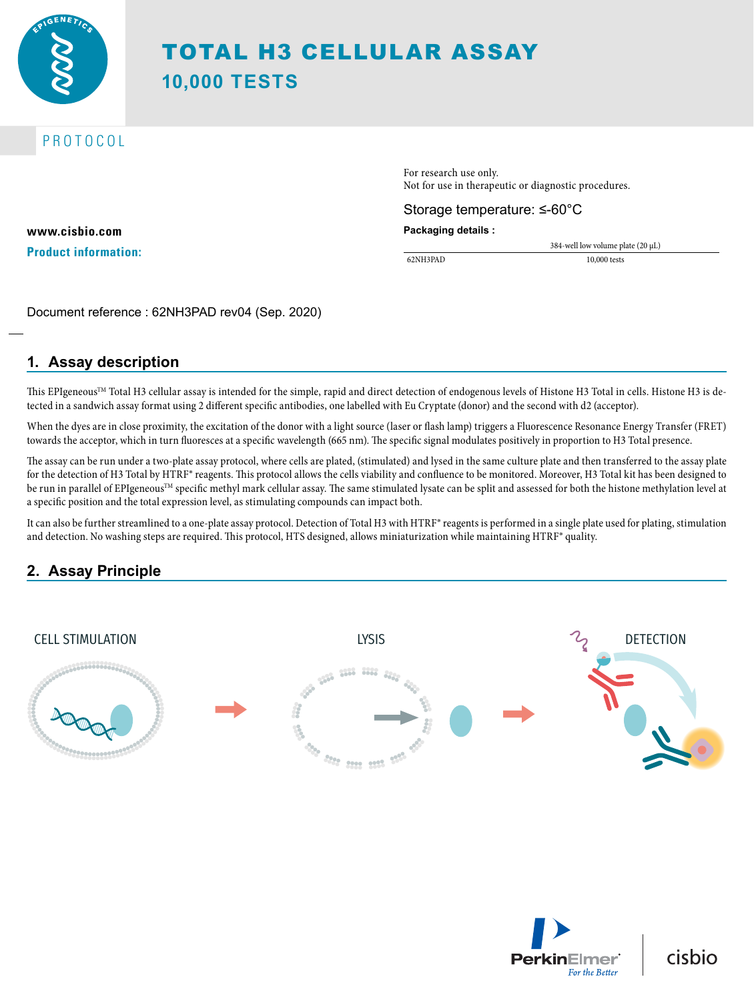

# TOTAL H3 CELLULAR ASSAY **10,000 TESTS**

# PROTOCOL

**www.cisbio.com Product information:** For research use only. Not for use in therapeutic or diagnostic procedures.

### Storage temperature: ≤-60°C

**Packaging details :**

62NH3PAD 10,000 tests

384-well low volume plate (20 µL)

Document reference : 62NH3PAD rev04 (Sep. 2020)

# **1. Assay description**

This EPIgeneous<sup>TM</sup> Total H3 cellular assay is intended for the simple, rapid and direct detection of endogenous levels of Histone H3 Total in cells. Histone H3 is detected in a sandwich assay format using 2 different specific antibodies, one labelled with Eu Cryptate (donor) and the second with d2 (acceptor).

When the dyes are in close proximity, the excitation of the donor with a light source (laser or flash lamp) triggers a Fluorescence Resonance Energy Transfer (FRET) towards the acceptor, which in turn fluoresces at a specific wavelength (665 nm). The specific signal modulates positively in proportion to H3 Total presence.

The assay can be run under a two-plate assay protocol, where cells are plated, (stimulated) and lysed in the same culture plate and then transferred to the assay plate for the detection of H3 Total by HTRF® reagents. This protocol allows the cells viability and confluence to be monitored. Moreover, H3 Total kit has been designed to be run in parallel of EPIgeneous<sup>™</sup> specific methyl mark cellular assay. The same stimulated lysate can be split and assessed for both the histone methylation level at a specific position and the total expression level, as stimulating compounds can impact both.

It can also be further streamlined to a one-plate assay protocol. Detection of Total H3 with HTRF® reagents is performed in a single plate used for plating, stimulation and detection. No washing steps are required. This protocol, HTS designed, allows miniaturization while maintaining HTRF® quality.

# **2. Assay Principle**





cisbio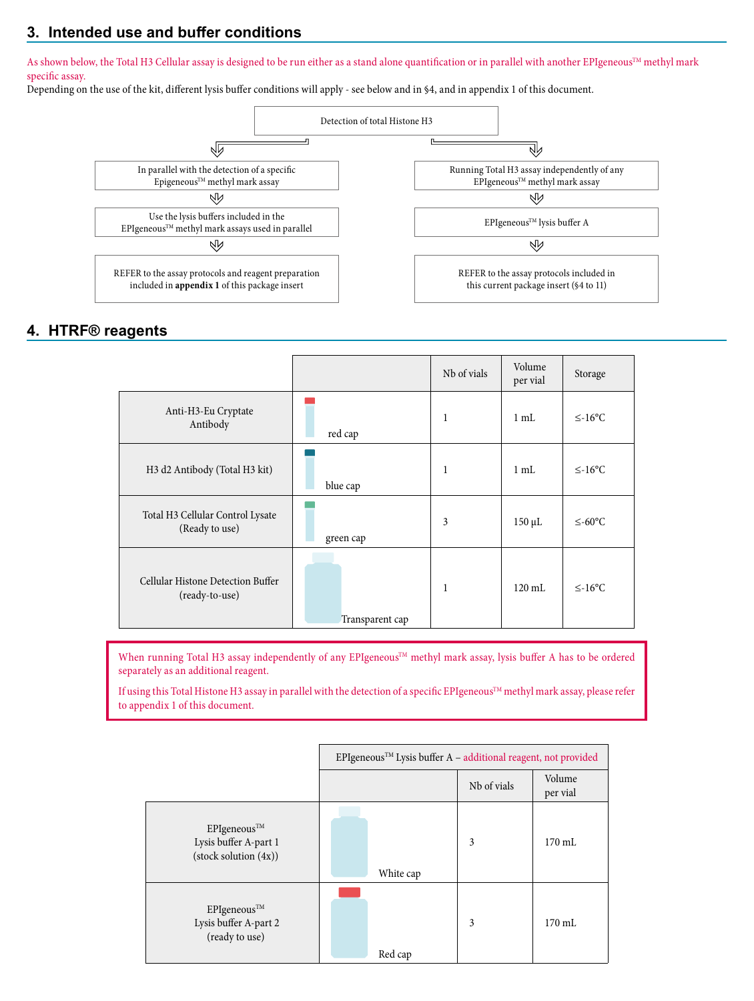# **3. Intended use and buffer conditions**

As shown below, the Total H3 Cellular assay is designed to be run either as a stand alone quantification or in parallel with another EPIgeneous™ methyl mark specific assay.

Depending on the use of the kit, different lysis buffer conditions will apply - see below and in §4, and in appendix 1 of this document.



### **4. HTRF® reagents**

|                                                     |                 | Nb of vials  | Volume<br>per vial | Storage      |
|-----------------------------------------------------|-----------------|--------------|--------------------|--------------|
| Anti-H3-Eu Cryptate<br>Antibody                     | red cap         | 1            | $1 \text{ mL}$     | $\leq$ -16°C |
| H3 d2 Antibody (Total H3 kit)                       | blue cap        | 1            | $1 \text{ mL}$     | $\leq$ -16°C |
| Total H3 Cellular Control Lysate<br>(Ready to use)  | green cap       | 3            | $150 \mu L$        | $≤-60$ °C    |
| Cellular Histone Detection Buffer<br>(ready-to-use) | Transparent cap | $\mathbf{1}$ | $120 \text{ mL}$   | $\leq$ -16°C |

When running Total H3 assay independently of any EPIgeneous™ methyl mark assay, lysis buffer A has to be ordered separately as an additional reagent.

If using this Total Histone H3 assay in parallel with the detection of a specific EPIgeneous™ methyl mark assay, please refer to appendix 1 of this document.

|                                                               | $EPI$ geneous <sup>TM</sup> Lysis buffer A – additional reagent, not provided |             |                    |
|---------------------------------------------------------------|-------------------------------------------------------------------------------|-------------|--------------------|
|                                                               |                                                                               | Nh of vials | Volume<br>per vial |
| EPIgeneous™<br>Lysis buffer A-part 1<br>(stock solution (4x)) | White cap                                                                     | 3           | $170 \text{ mL}$   |
| EPIgeneous™<br>Lysis buffer A-part 2<br>(ready to use)        | Red cap                                                                       | 3           | $170 \text{ mL}$   |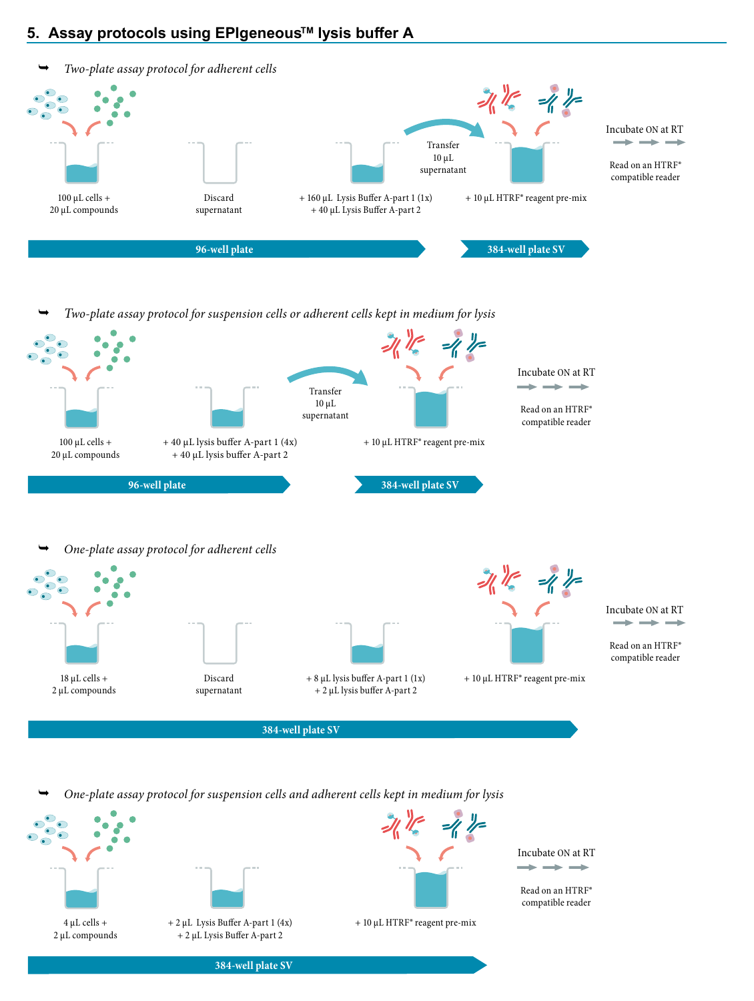# **5. Assay protocols using EPIgeneousTM lysis buffer A**



*Two-plate assay protocol for suspension cells or adherent cells kept in medium for lysis*



*One-plate assay protocol for suspension cells and adherent cells kept in medium for lysis* 

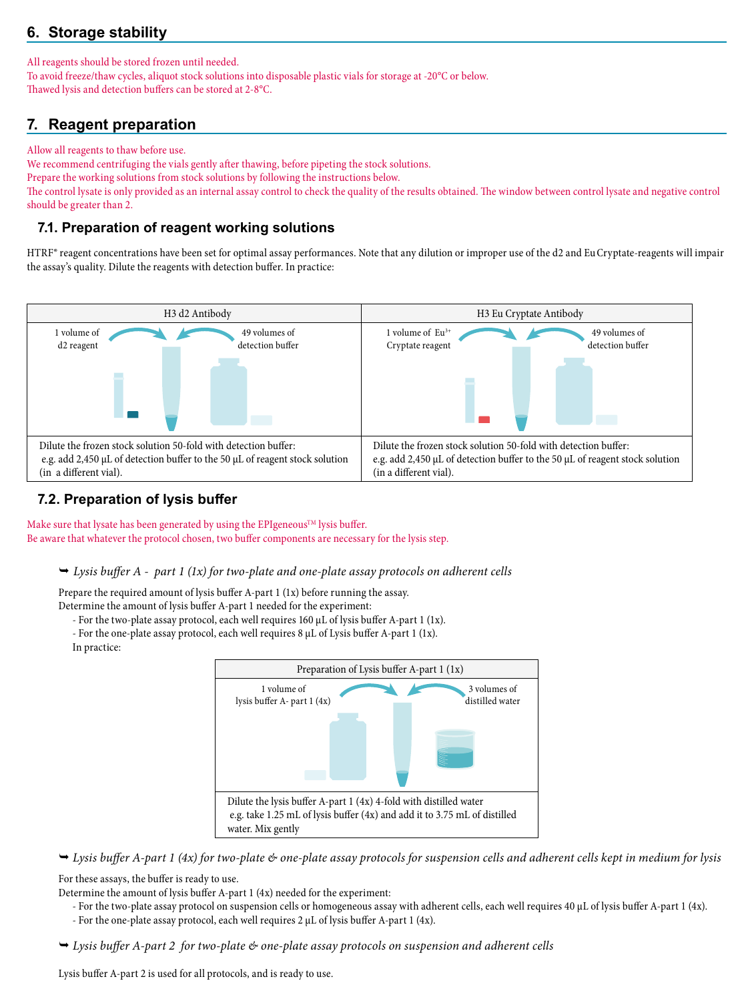# **6. Storage stability**

All reagents should be stored frozen until needed.

To avoid freeze/thaw cycles, aliquot stock solutions into disposable plastic vials for storage at -20°C or below. Thawed lysis and detection buffers can be stored at 2-8°C.

# **7. Reagent preparation**

Allow all reagents to thaw before use.

We recommend centrifuging the vials gently after thawing, before pipeting the stock solutions. Prepare the working solutions from stock solutions by following the instructions below. The control lysate is only provided as an internal assay control to check the quality of the results obtained. The window between control lysate and negative control should be greater than 2.

# **7.1. Preparation of reagent working solutions**

HTRF® reagent concentrations have been set for optimal assay performances. Note that any dilution or improper use of the d2 and Eu Cryptate-reagents will impair the assay's quality. Dilute the reagents with detection buffer. In practice:



# **7.2. Preparation of lysis buffer**

Make sure that lysate has been generated by using the EPIgeneous<sup>TM</sup> lysis buffer. Be aware that whatever the protocol chosen, two buffer components are necessary for the lysis step.

*Lysis buffer A - part 1 (1x) for two-plate and one-plate assay protocols on adherent cells*

Prepare the required amount of lysis buffer A-part 1 (1x) before running the assay. Determine the amount of lysis buffer A-part 1 needed for the experiment:

- For the two-plate assay protocol, each well requires 160 µL of lysis buffer A-part 1 (1x).
	- For the one-plate assay protocol, each well requires 8 µL of Lysis buffer A-part 1 (1x).
- In practice:



 *Lysis buffer A-part 1 (4x) for two-plate & one-plate assay protocols for suspension cells and adherent cells kept in medium for lysis* 

For these assays, the buffer is ready to use.

- Determine the amount of lysis buffer A-part 1 (4x) needed for the experiment:
	- For the two-plate assay protocol on suspension cells or homogeneous assay with adherent cells, each well requires 40 µL of lysis buffer A-part 1 (4x). - For the one-plate assay protocol, each well requires 2 µL of lysis buffer A-part 1 (4x).
- *Lysis buffer A-part 2 for two-plate & one-plate assay protocols on suspension and adherent cells*

Lysis buffer A-part 2 is used for all protocols, and is ready to use.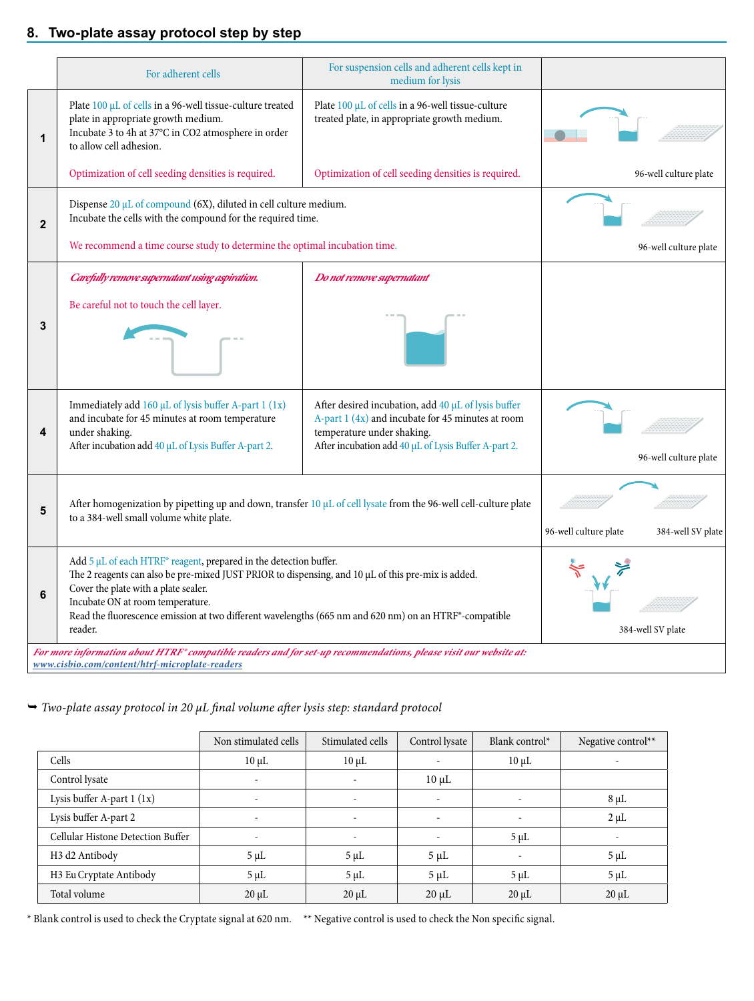# **8. Two-plate assay protocol step by step**

|              | For adherent cells                                                                                                                                                                                                                                                                                                                                                       | For suspension cells and adherent cells kept in<br>medium for lysis                                                                                                                            |                       |                       |
|--------------|--------------------------------------------------------------------------------------------------------------------------------------------------------------------------------------------------------------------------------------------------------------------------------------------------------------------------------------------------------------------------|------------------------------------------------------------------------------------------------------------------------------------------------------------------------------------------------|-----------------------|-----------------------|
| 1            | Plate 100 µL of cells in a 96-well tissue-culture treated<br>plate in appropriate growth medium.<br>Incubate 3 to 4h at 37°C in CO2 atmosphere in order<br>to allow cell adhesion.                                                                                                                                                                                       | Plate 100 µL of cells in a 96-well tissue-culture<br>treated plate, in appropriate growth medium.                                                                                              |                       |                       |
|              | Optimization of cell seeding densities is required.                                                                                                                                                                                                                                                                                                                      | Optimization of cell seeding densities is required.                                                                                                                                            |                       | 96-well culture plate |
| $\mathbf{2}$ | Dispense 20 µL of compound (6X), diluted in cell culture medium.<br>Incubate the cells with the compound for the required time.                                                                                                                                                                                                                                          |                                                                                                                                                                                                |                       |                       |
|              | We recommend a time course study to determine the optimal incubation time.                                                                                                                                                                                                                                                                                               |                                                                                                                                                                                                |                       | 96-well culture plate |
|              | Carefully remove supernatant using aspiration.                                                                                                                                                                                                                                                                                                                           | Do not remove supernatant                                                                                                                                                                      |                       |                       |
| 3            | Be careful not to touch the cell layer.                                                                                                                                                                                                                                                                                                                                  |                                                                                                                                                                                                |                       |                       |
| 4            | Immediately add $160 \mu L$ of lysis buffer A-part 1 (1x)<br>and incubate for 45 minutes at room temperature<br>under shaking.<br>After incubation add 40 µL of Lysis Buffer A-part 2.                                                                                                                                                                                   | After desired incubation, add 40 µL of lysis buffer<br>A-part 1 (4x) and incubate for 45 minutes at room<br>temperature under shaking.<br>After incubation add 40 µL of Lysis Buffer A-part 2. |                       | 96-well culture plate |
| 5            | After homogenization by pipetting up and down, transfer $10 \mu L$ of cell lysate from the 96-well cell-culture plate<br>to a 384-well small volume white plate.                                                                                                                                                                                                         |                                                                                                                                                                                                | 96-well culture plate | 384-well SV plate     |
| 6            | Add 5 µL of each HTRF® reagent, prepared in the detection buffer.<br>The 2 reagents can also be pre-mixed JUST PRIOR to dispensing, and 10 µL of this pre-mix is added.<br>Cover the plate with a plate sealer.<br>Incubate ON at room temperature.<br>Read the fluorescence emission at two different wavelengths (665 nm and 620 nm) on an HTRF®-compatible<br>reader. |                                                                                                                                                                                                |                       | 384-well SV plate     |
|              | For more information about HTRF® compatible readers and for set-up recommendations, please visit our website at:<br>www.cisbio.com/content/htrf-microplate-readers                                                                                                                                                                                                       |                                                                                                                                                                                                |                       |                       |

### *Two-plate assay protocol in 20 µL final volume after lysis step: standard protocol*

|                                        | Non stimulated cells | Stimulated cells         | Control lysate | Blank control $*$        | Negative control** |
|----------------------------------------|----------------------|--------------------------|----------------|--------------------------|--------------------|
| Cells                                  | $10 \mu L$           | $10 \mu L$               |                | $10 \mu L$               |                    |
| Control lysate                         |                      | $\overline{\phantom{a}}$ | $10 \mu L$     |                          |                    |
| Lysis buffer A-part $1 (1x)$           |                      | $\overline{\phantom{a}}$ | ۰              | $\overline{\phantom{m}}$ | $8 \mu L$          |
| Lysis buffer A-part 2                  |                      |                          |                |                          | $2 \mu L$          |
| Cellular Histone Detection Buffer      |                      |                          |                | $5 \mu L$                |                    |
| H <sub>3</sub> d <sub>2</sub> Antibody | $5 \mu L$            | $5 \mu L$                | $5 \mu L$      |                          | $5 \mu L$          |
| H3 Eu Cryptate Antibody                | $5 \mu L$            | $5 \mu L$                | $5 \mu L$      | $5 \mu L$                | $5 \mu L$          |
| Total volume                           | $20 \mu L$           | $20 \mu L$               | $20 \mu L$     | $20 \mu L$               | $20 \mu L$         |

\* Blank control is used to check the Cryptate signal at 620 nm. \*\* Negative control is used to check the Non specific signal.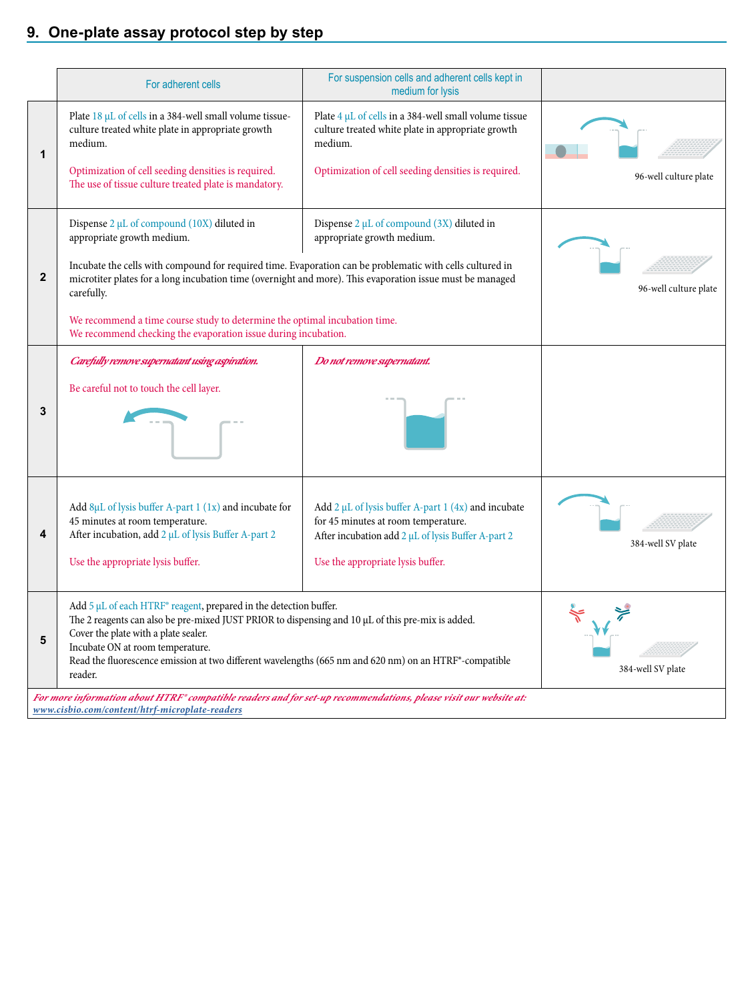# **9. One-plate assay protocol step by step**

|              | For adherent cells                                                                                                                                                                                                                   | For suspension cells and adherent cells kept in<br>medium for lysis                                                        |                       |
|--------------|--------------------------------------------------------------------------------------------------------------------------------------------------------------------------------------------------------------------------------------|----------------------------------------------------------------------------------------------------------------------------|-----------------------|
| 1            | Plate 18 µL of cells in a 384-well small volume tissue-<br>culture treated white plate in appropriate growth<br>medium.                                                                                                              | Plate $4 \mu L$ of cells in a 384-well small volume tissue<br>culture treated white plate in appropriate growth<br>medium. |                       |
|              | Optimization of cell seeding densities is required.<br>The use of tissue culture treated plate is mandatory.                                                                                                                         | Optimization of cell seeding densities is required.                                                                        | 96-well culture plate |
|              | Dispense $2 \mu L$ of compound (10X) diluted in<br>appropriate growth medium.                                                                                                                                                        | Dispense $2 \mu L$ of compound (3X) diluted in<br>appropriate growth medium.                                               |                       |
| $\mathbf{2}$ | Incubate the cells with compound for required time. Evaporation can be problematic with cells cultured in<br>microtiter plates for a long incubation time (overnight and more). This evaporation issue must be managed<br>carefully. |                                                                                                                            | 96-well culture plate |
|              | We recommend a time course study to determine the optimal incubation time.<br>We recommend checking the evaporation issue during incubation.                                                                                         |                                                                                                                            |                       |
|              | Carefully remove supernatant using aspiration.                                                                                                                                                                                       | Do not remove supernatant.                                                                                                 |                       |
|              | Be careful not to touch the cell layer.                                                                                                                                                                                              |                                                                                                                            |                       |
| 3            |                                                                                                                                                                                                                                      |                                                                                                                            |                       |
|              | Add $8\mu$ L of lysis buffer A-part 1 (1x) and incubate for                                                                                                                                                                          | Add $2 \mu L$ of lysis buffer A-part 1 (4x) and incubate                                                                   |                       |
| 4            | 45 minutes at room temperature.<br>After incubation, add 2 µL of lysis Buffer A-part 2                                                                                                                                               | for 45 minutes at room temperature.<br>After incubation add 2 µL of lysis Buffer A-part 2                                  |                       |
|              | Use the appropriate lysis buffer.                                                                                                                                                                                                    | Use the appropriate lysis buffer.                                                                                          | 384-well SV plate     |
|              | Add 5 µL of each HTRF® reagent, prepared in the detection buffer.<br>The 2 reagents can also be pre-mixed JUST PRIOR to dispensing and 10 µL of this pre-mix is added.                                                               |                                                                                                                            |                       |
| 5            | Cover the plate with a plate sealer.<br>Incubate ON at room temperature.<br>Read the fluorescence emission at two different wavelengths (665 nm and 620 nm) on an HTRF®-compatible<br>reader.                                        |                                                                                                                            | 384-well SV plate     |
|              | For more information about HTRF® compatible readers and for set-up recommendations, please visit our website at:<br>www.cisbio.com/content/htrf-microplate-readers                                                                   |                                                                                                                            |                       |
|              |                                                                                                                                                                                                                                      |                                                                                                                            |                       |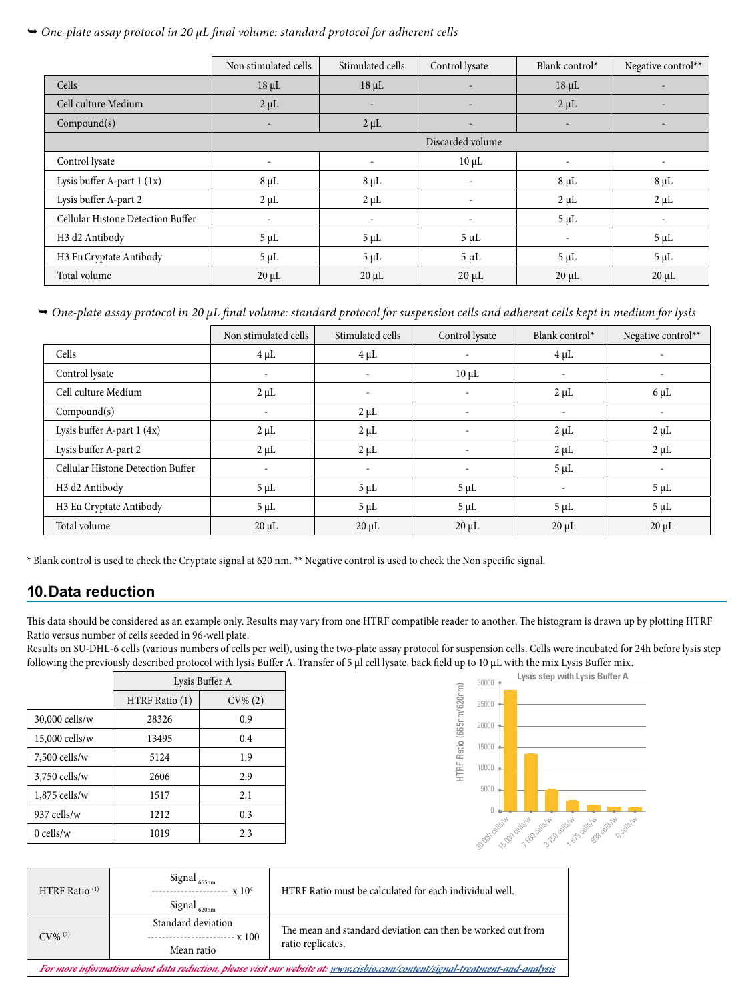### *One-plate assay protocol in 20 µL final volume: standard protocol for adherent cells*

|                                   | Non stimulated cells     | Stimulated cells         | Control lysate           | Blank control*           | Negative control**       |
|-----------------------------------|--------------------------|--------------------------|--------------------------|--------------------------|--------------------------|
| Cells                             | $18 \mu L$               | $18 \mu L$               |                          | $18 \mu L$               | $\overline{\phantom{0}}$ |
| Cell culture Medium               | $2 \mu L$                | $\overline{\phantom{a}}$ |                          | $2 \mu L$                | $\overline{a}$           |
| Compound(s)                       |                          | $2 \mu L$                |                          | $\overline{\phantom{a}}$ | $\overline{\phantom{0}}$ |
|                                   |                          |                          | Discarded volume         |                          |                          |
| Control lysate                    |                          |                          | $10 \mu L$               |                          |                          |
| Lysis buffer A-part 1 (1x)        | $8 \mu L$                | $8 \mu L$                | $\overline{\phantom{0}}$ | $8 \mu L$                | $8 \mu L$                |
| Lysis buffer A-part 2             | $2 \mu L$                | $2 \mu L$                | $\overline{\phantom{a}}$ | $2 \mu L$                | $2 \mu L$                |
| Cellular Histone Detection Buffer | $\overline{\phantom{a}}$ | $\overline{\phantom{a}}$ | $\overline{\phantom{a}}$ | $5 \mu L$                | $\overline{\phantom{a}}$ |
| H3 d2 Antibody                    | $5 \mu L$                | $5 \mu L$                | $5 \mu L$                | $\overline{\phantom{a}}$ | $5 \mu L$                |
| H3 Eu Cryptate Antibody           | $5 \mu L$                | $5 \mu L$                | $5 \mu L$                | $5 \mu L$                | $5 \mu L$                |
| Total volume                      | $20 \mu L$               | $20 \mu L$               | $20 \mu L$               | $20 \mu L$               | $20 \mu L$               |

 *One-plate assay protocol in 20 µL final volume: standard protocol for suspension cells and adherent cells kept in medium for lysis*

|                                        | Non stimulated cells     | Stimulated cells         | Control lysate           | Blank control*           | Negative control**       |
|----------------------------------------|--------------------------|--------------------------|--------------------------|--------------------------|--------------------------|
| Cells                                  | $4 \mu L$                | $4 \mu L$                |                          | $4 \mu L$                |                          |
| Control lysate                         | $\overline{\phantom{a}}$ | $\overline{\phantom{a}}$ | $10 \mu L$               | $\overline{\phantom{a}}$ |                          |
| Cell culture Medium                    | $2 \mu L$                | $\overline{\phantom{a}}$ | $\overline{\phantom{a}}$ | $2 \mu L$                | $6 \mu L$                |
| Compound(s)                            |                          | $2 \mu L$                | $\overline{\phantom{a}}$ | $\overline{\phantom{a}}$ |                          |
| Lysis buffer A-part 1 (4x)             | $2 \mu L$                | $2 \mu L$                | $\overline{\phantom{a}}$ | $2 \mu L$                | $2 \mu L$                |
| Lysis buffer A-part 2                  | $2 \mu L$                | $2 \mu L$                | $\overline{\phantom{a}}$ | $2 \mu L$                | $2 \mu L$                |
| Cellular Histone Detection Buffer      |                          | $\overline{\phantom{a}}$ | $\overline{\phantom{a}}$ | $5 \mu L$                | $\overline{\phantom{a}}$ |
| H <sub>3</sub> d <sub>2</sub> Antibody | $5 \mu L$                | $5 \mu L$                | $5 \mu L$                | $\overline{\phantom{a}}$ | $5 \mu L$                |
| H3 Eu Cryptate Antibody                | $5 \mu L$                | $5 \mu L$                | $5 \mu L$                | $5 \mu L$                | $5 \mu L$                |
| Total volume                           | $20 \mu L$               | $20 \mu L$               | $20 \mu L$               | $20 \mu L$               | $20 \mu L$               |

\* Blank control is used to check the Cryptate signal at 620 nm. \*\* Negative control is used to check the Non specific signal.

# **10.Data reduction**

This data should be considered as an example only. Results may vary from one HTRF compatible reader to another. The histogram is drawn up by plotting HTRF Ratio versus number of cells seeded in 96-well plate.

Results on SU-DHL-6 cells (various numbers of cells per well), using the two-plate assay protocol for suspension cells. Cells were incubated for 24h before lysis step following the previously described protocol with lysis Buffer A. Transfer of 5 µl cell lysate, back field up to 10 µL with the mix Lysis Buffer mix.

|                 | Lysis Buffer A |            |  |
|-----------------|----------------|------------|--|
|                 | HTRF Ratio (1) | $CV\% (2)$ |  |
| 30,000 cells/w  | 28326          | 0.9        |  |
| 15,000 cells/w  | 13495          | 0.4        |  |
| $7,500$ cells/w | 5124           | 1.9        |  |
| $3,750$ cells/w | 2606           | 2.9        |  |
| 1,875 cells/w   | 1517           | 2.1        |  |
| 937 cells/w     | 1212           | 0.3        |  |
| $0$ cells/w     | 1019           | 2.3        |  |



| HTRF Ratio <sup>(1)</sup>                                                                                                    | Signal<br>665nm<br>$- x 104$<br>Signal<br>620nm   | HTRF Ratio must be calculated for each individual well.                          |  |  |
|------------------------------------------------------------------------------------------------------------------------------|---------------------------------------------------|----------------------------------------------------------------------------------|--|--|
| $CV\%$ <sup>(2)</sup>                                                                                                        | Standard deviation<br>$\cdot$ x 100<br>Mean ratio | The mean and standard deviation can then be worked out from<br>ratio replicates. |  |  |
| For more information about data reduction, please visit our website at: www.cisbio.com/content/signal-treatment-and-analysis |                                                   |                                                                                  |  |  |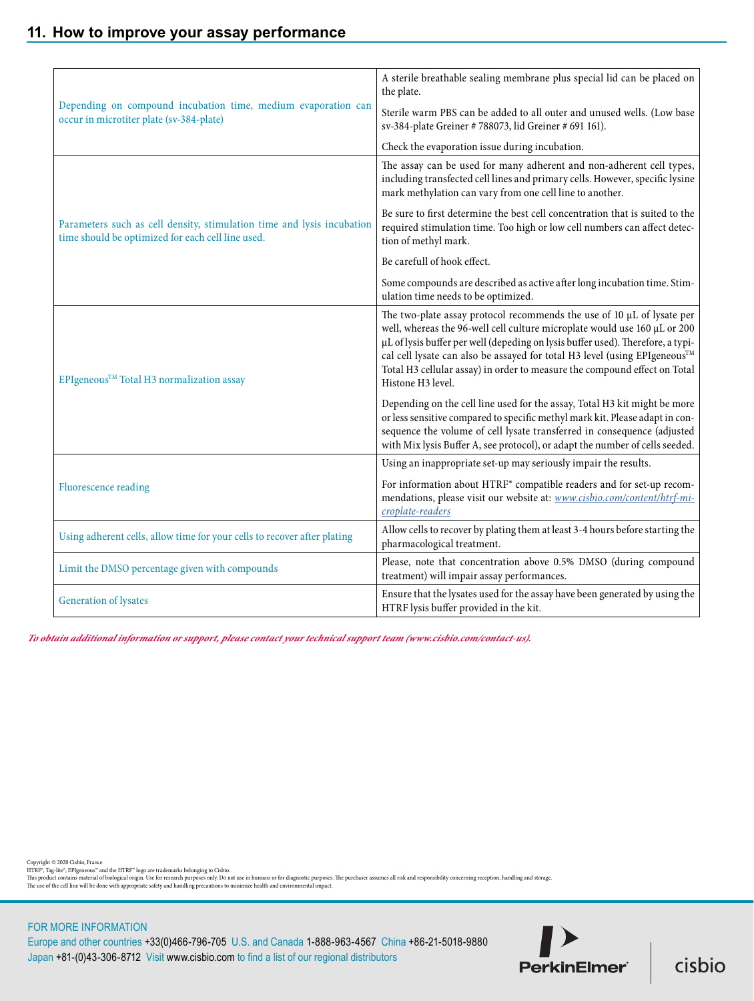|                                                                                                                             | A sterile breathable sealing membrane plus special lid can be placed on<br>the plate.                                                                                                                                                                                                                                                                                                                                 |
|-----------------------------------------------------------------------------------------------------------------------------|-----------------------------------------------------------------------------------------------------------------------------------------------------------------------------------------------------------------------------------------------------------------------------------------------------------------------------------------------------------------------------------------------------------------------|
| Depending on compound incubation time, medium evaporation can<br>occur in microtiter plate (sv-384-plate)                   | Sterile warm PBS can be added to all outer and unused wells. (Low base<br>sv-384-plate Greiner # 788073, lid Greiner # 691 161).                                                                                                                                                                                                                                                                                      |
|                                                                                                                             | Check the evaporation issue during incubation.                                                                                                                                                                                                                                                                                                                                                                        |
|                                                                                                                             | The assay can be used for many adherent and non-adherent cell types,<br>including transfected cell lines and primary cells. However, specific lysine<br>mark methylation can vary from one cell line to another.                                                                                                                                                                                                      |
| Parameters such as cell density, stimulation time and lysis incubation<br>time should be optimized for each cell line used. | Be sure to first determine the best cell concentration that is suited to the<br>required stimulation time. Too high or low cell numbers can affect detec-<br>tion of methyl mark.                                                                                                                                                                                                                                     |
|                                                                                                                             | Be carefull of hook effect.                                                                                                                                                                                                                                                                                                                                                                                           |
|                                                                                                                             | Some compounds are described as active after long incubation time. Stim-<br>ulation time needs to be optimized.                                                                                                                                                                                                                                                                                                       |
| EPIgeneous™ Total H3 normalization assay                                                                                    | The two-plate assay protocol recommends the use of 10 µL of lysate per<br>well, whereas the 96-well cell culture microplate would use 160 µL or 200<br>µL of lysis buffer per well (depeding on lysis buffer used). Therefore, a typi-<br>cal cell lysate can also be assayed for total H3 level (using EPIgeneous™<br>Total H3 cellular assay) in order to measure the compound effect on Total<br>Histone H3 level. |
|                                                                                                                             | Depending on the cell line used for the assay, Total H3 kit might be more<br>or less sensitive compared to specific methyl mark kit. Please adapt in con-<br>sequence the volume of cell lysate transferred in consequence (adjusted<br>with Mix lysis Buffer A, see protocol), or adapt the number of cells seeded.                                                                                                  |
|                                                                                                                             | Using an inappropriate set-up may seriously impair the results.                                                                                                                                                                                                                                                                                                                                                       |
| <b>Fluorescence reading</b>                                                                                                 | For information about HTRF® compatible readers and for set-up recom-<br>mendations, please visit our website at: www.cisbio.com/content/htrf-mi-<br>croplate-readers                                                                                                                                                                                                                                                  |
| Using adherent cells, allow time for your cells to recover after plating                                                    | Allow cells to recover by plating them at least 3-4 hours before starting the<br>pharmacological treatment.                                                                                                                                                                                                                                                                                                           |
| Limit the DMSO percentage given with compounds                                                                              | Please, note that concentration above 0.5% DMSO (during compound<br>treatment) will impair assay performances.                                                                                                                                                                                                                                                                                                        |
| Generation of lysates                                                                                                       | Ensure that the lysates used for the assay have been generated by using the<br>HTRF lysis buffer provided in the kit.                                                                                                                                                                                                                                                                                                 |

*To obtain additional information or support, please contact your technical support team (www.cisbio.com/contact-us).*

Copyright © 2020 Cisbio, France<br>HTRF", Tag-lite", EPIgeneous" and the HTRF" logo are trademarks belonging to Cisbio.<br>This product contains material of biological origin. Use for research purposes only. Do not use in humans

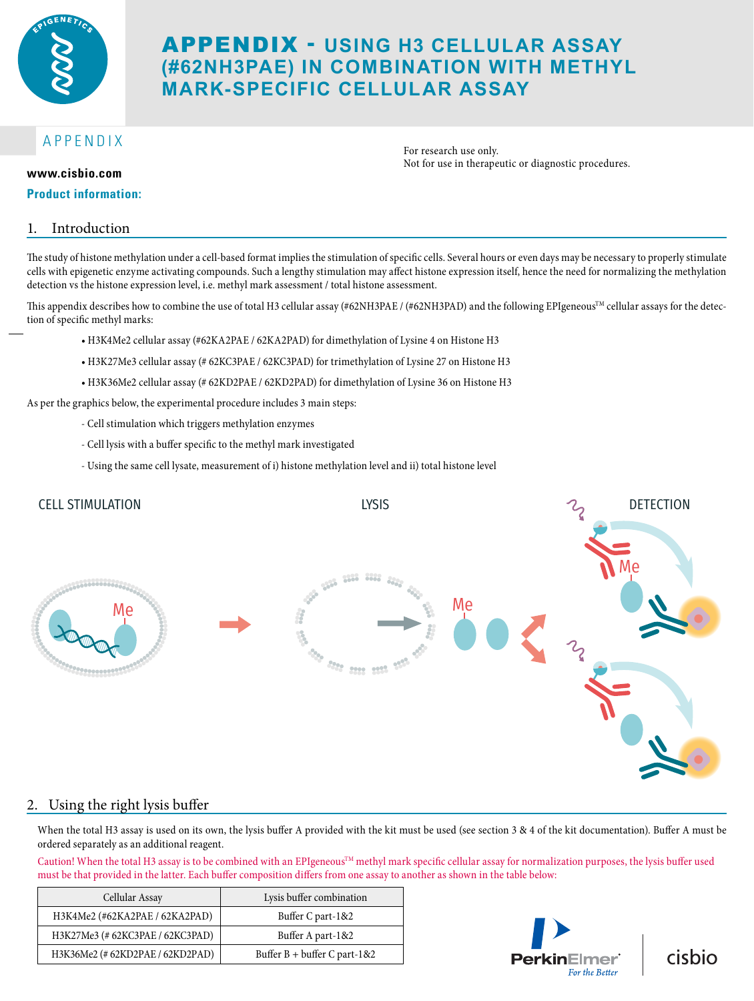

# APPENDIX - **USING H3 CELLULAR ASSAY (#62NH3PAE) IN COMBINATION WITH METHYL MARK-SPECIFIC CELLULAR ASSAY**

# APPENDIX

#### **Product information:**

For research use only. Not for use in therapeutic or diagnostic procedures. **www.cisbio.com**

### 1. Introduction

The study of histone methylation under a cell-based format implies the stimulation of specific cells. Several hours or even days may be necessary to properly stimulate cells with epigenetic enzyme activating compounds. Such a lengthy stimulation may affect histone expression itself, hence the need for normalizing the methylation detection vs the histone expression level, i.e. methyl mark assessment / total histone assessment.

This appendix describes how to combine the use of total H3 cellular assay (#62NH3PAE / (#62NH3PAD) and the following EPIgeneous<sup>TM</sup> cellular assays for the detection of specific methyl marks:

- H3K4Me2 cellular assay (#62KA2PAE / 62KA2PAD) for dimethylation of Lysine 4 on Histone H3
- H3K27Me3 cellular assay (# 62KC3PAE / 62KC3PAD) for trimethylation of Lysine 27 on Histone H3
- H3K36Me2 cellular assay (# 62KD2PAE / 62KD2PAD) for dimethylation of Lysine 36 on Histone H3

As per the graphics below, the experimental procedure includes 3 main steps:

- Cell stimulation which triggers methylation enzymes
- Cell lysis with a buffer specific to the methyl mark investigated
- Using the same cell lysate, measurement of i) histone methylation level and ii) total histone level



### 2. Using the right lysis buffer

When the total H3 assay is used on its own, the lysis buffer A provided with the kit must be used (see section 3 & 4 of the kit documentation). Buffer A must be ordered separately as an additional reagent.

Caution! When the total H3 assay is to be combined with an EPIgeneous<sup>TM</sup> methyl mark specific cellular assay for normalization purposes, the lysis buffer used must be that provided in the latter. Each buffer composition differs from one assay to another as shown in the table below:

| Cellular Assay                   | Lysis buffer combination       |
|----------------------------------|--------------------------------|
| H3K4Me2 (#62KA2PAE / 62KA2PAD)   | Buffer C part-1&2              |
| H3K27Me3 (# 62KC3PAE / 62KC3PAD) | Buffer A part-1&2              |
| H3K36Me2 (#62KD2PAE / 62KD2PAD)  | Buffer $B$ + buffer C part-1&2 |



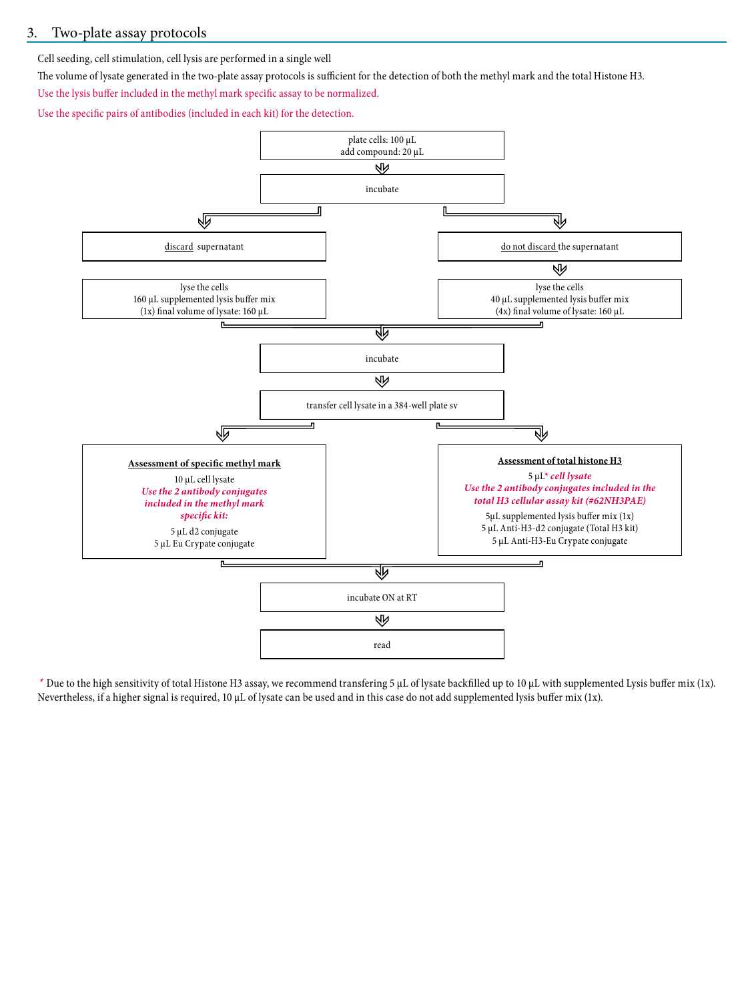### 3. Two-plate assay protocols

Cell seeding, cell stimulation, cell lysis are performed in a single well

The volume of lysate generated in the two-plate assay protocols is sufficient for the detection of both the methyl mark and the total Histone H3.

Use the lysis buffer included in the methyl mark specific assay to be normalized.

Use the specific pairs of antibodies (included in each kit) for the detection.



\* Due to the high sensitivity of total Histone H3 assay, we recommend transfering 5 μL of lysate backfilled up to 10 μL with supplemented Lysis buffer mix (1x). Nevertheless, if a higher signal is required, 10 μL of lysate can be used and in this case do not add supplemented lysis buffer mix (1x).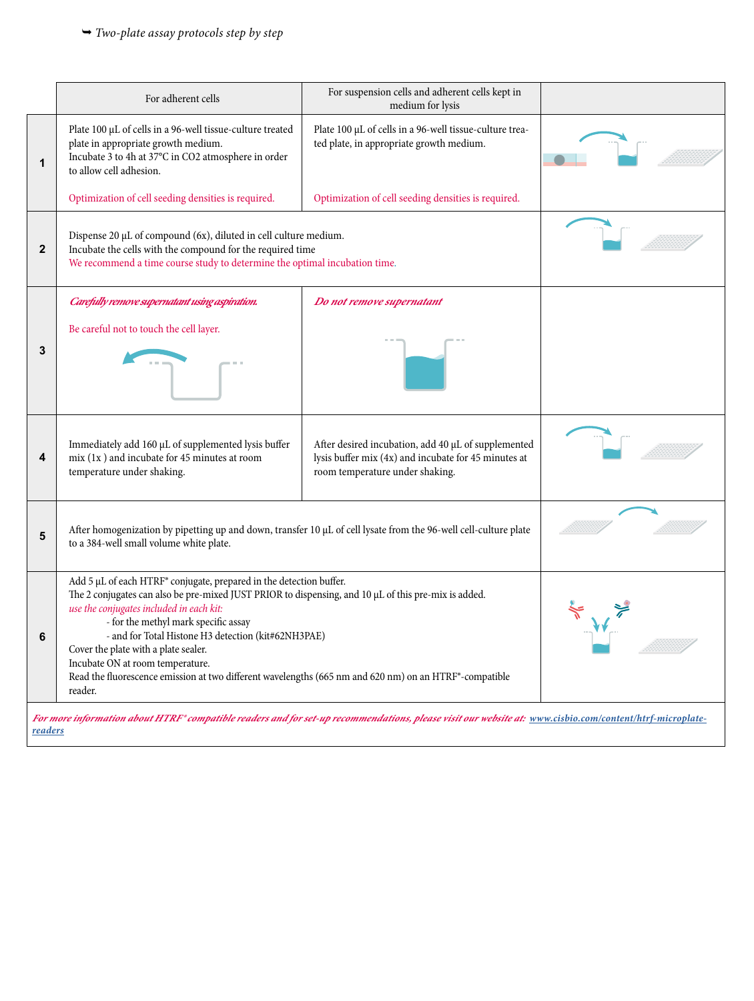|              | For adherent cells                                                                                                                                                                                                                                                                                                                                                                                                                                                                                                      | For suspension cells and adherent cells kept in<br>medium for lysis                                                                            |  |  |  |
|--------------|-------------------------------------------------------------------------------------------------------------------------------------------------------------------------------------------------------------------------------------------------------------------------------------------------------------------------------------------------------------------------------------------------------------------------------------------------------------------------------------------------------------------------|------------------------------------------------------------------------------------------------------------------------------------------------|--|--|--|
| 1            | Plate 100 µL of cells in a 96-well tissue-culture treated<br>plate in appropriate growth medium.<br>Incubate 3 to 4h at 37°C in CO2 atmosphere in order<br>to allow cell adhesion.                                                                                                                                                                                                                                                                                                                                      | Plate 100 µL of cells in a 96-well tissue-culture trea-<br>ted plate, in appropriate growth medium.                                            |  |  |  |
|              | Optimization of cell seeding densities is required.                                                                                                                                                                                                                                                                                                                                                                                                                                                                     | Optimization of cell seeding densities is required.                                                                                            |  |  |  |
| $\mathbf{2}$ | Dispense 20 µL of compound (6x), diluted in cell culture medium.<br>Incubate the cells with the compound for the required time<br>We recommend a time course study to determine the optimal incubation time.                                                                                                                                                                                                                                                                                                            |                                                                                                                                                |  |  |  |
| 3            | Carefully remove supernatant using aspiration.<br>Be careful not to touch the cell layer.                                                                                                                                                                                                                                                                                                                                                                                                                               | Do not remove supernatant                                                                                                                      |  |  |  |
| 4            | Immediately add 160 µL of supplemented lysis buffer<br>$mix(1x)$ and incubate for 45 minutes at room<br>temperature under shaking.                                                                                                                                                                                                                                                                                                                                                                                      | After desired incubation, add 40 µL of supplemented<br>lysis buffer mix (4x) and incubate for 45 minutes at<br>room temperature under shaking. |  |  |  |
| 5            | After homogenization by pipetting up and down, transfer 10 µL of cell lysate from the 96-well cell-culture plate<br>to a 384-well small volume white plate.                                                                                                                                                                                                                                                                                                                                                             |                                                                                                                                                |  |  |  |
| 6            | Add 5 µL of each HTRF® conjugate, prepared in the detection buffer.<br>The 2 conjugates can also be pre-mixed JUST PRIOR to dispensing, and 10 µL of this pre-mix is added.<br>use the conjugates included in each kit:<br>- for the methyl mark specific assay<br>- and for Total Histone H3 detection (kit#62NH3PAE)<br>Cover the plate with a plate sealer.<br>Incubate ON at room temperature.<br>Read the fluorescence emission at two different wavelengths (665 nm and 620 nm) on an HTRF®-compatible<br>reader. |                                                                                                                                                |  |  |  |

*[readers](www.cisbio.com/content/htrf-microplate-readers)*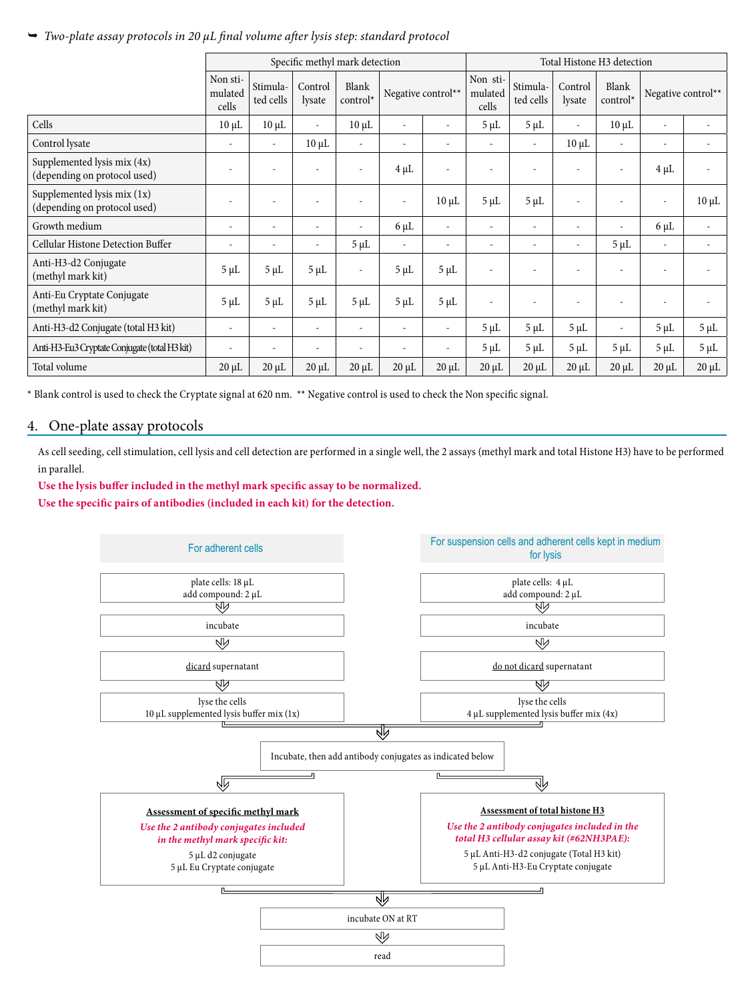### *Two-plate assay protocols in 20 µL final volume after lysis step: standard protocol*

|                                                             | Specific methyl mark detection |                          |                          |                          |                          | Total Histone H3 detection |                              |                          |                          |                          |                          |            |
|-------------------------------------------------------------|--------------------------------|--------------------------|--------------------------|--------------------------|--------------------------|----------------------------|------------------------------|--------------------------|--------------------------|--------------------------|--------------------------|------------|
|                                                             | Non sti-<br>mulated<br>cells   | Stimula-<br>ted cells    | Control<br>lysate        | Blank<br>control*        | Negative control**       |                            | Non sti-<br>mulated<br>cells | Stimula-<br>ted cells    | Control<br>lysate        | Blank<br>control*        | Negative control**       |            |
| Cells                                                       | $10 \mu L$                     | $10 \mu L$               | $\sim$                   | $10 \mu L$               | $\bar{a}$                |                            | $5 \mu L$                    | $5 \mu L$                | $\sim$                   | $10 \mu L$               | $\overline{\phantom{a}}$ |            |
| Control lysate                                              |                                | $\blacksquare$           | $10 \mu L$               | $\frac{1}{2}$            | $\blacksquare$           |                            | $\sim$                       | $\overline{\phantom{a}}$ | $10 \mu L$               |                          | $\overline{\phantom{a}}$ |            |
| Supplemented lysis mix (4x)<br>(depending on protocol used) |                                | $\blacksquare$           |                          | ٠                        | $4 \mu L$                |                            | $\overline{\phantom{a}}$     | $\overline{\phantom{a}}$ | $\overline{\phantom{a}}$ | $\sim$                   | $4 \mu L$                |            |
| Supplemented lysis mix (1x)<br>(depending on protocol used) |                                | $\overline{\phantom{a}}$ | $\overline{\phantom{a}}$ | ٠                        | $\overline{\phantom{a}}$ | $10 \mu L$                 | $5 \mu L$                    | $5 \mu L$                | $\overline{\phantom{a}}$ | $\overline{\phantom{a}}$ | $\overline{\phantom{a}}$ | $10 \mu L$ |
| Growth medium                                               | $\overline{\phantom{a}}$       | $\overline{\phantom{a}}$ | $\overline{\phantom{a}}$ | $\overline{\phantom{a}}$ | $6 \mu L$                | $\overline{\phantom{a}}$   | $\overline{\phantom{a}}$     | $\overline{\phantom{a}}$ | $\overline{\phantom{a}}$ | $\sim$                   | $6 \mu L$                | ÷,         |
| Cellular Histone Detection Buffer                           | $\overline{\phantom{a}}$       | $\overline{\phantom{a}}$ | $\overline{\phantom{a}}$ | $5 \mu L$                | $\sim$                   | $\overline{\phantom{a}}$   | $\overline{\phantom{a}}$     | $\overline{\phantom{a}}$ | -                        | $5 \mu L$                | $\overline{\phantom{a}}$ |            |
| Anti-H3-d2 Conjugate<br>(methyl mark kit)                   | $5 \mu L$                      | $5 \mu L$                | $5 \mu L$                | $\overline{\phantom{a}}$ | $5 \mu L$                | $5 \mu L$                  | ÷                            |                          |                          | $\overline{\phantom{a}}$ |                          |            |
| Anti-Eu Cryptate Conjugate<br>(methyl mark kit)             | $5 \mu L$                      | $5 \mu L$                | $5 \mu L$                | $5 \mu L$                | $5 \mu L$                | $5 \mu L$                  | $\overline{\phantom{a}}$     | $\overline{\phantom{a}}$ |                          | $\overline{\phantom{a}}$ | $\overline{\phantom{a}}$ |            |
| Anti-H3-d2 Conjugate (total H3 kit)                         | $\sim$                         | $\overline{\phantom{a}}$ | $\overline{\phantom{a}}$ | $\frac{1}{2}$            | $\overline{\phantom{a}}$ | $\overline{\phantom{a}}$   | $5 \mu L$                    | $5 \mu L$                | $5 \mu L$                | $\sim$                   | $5 \mu L$                | $5 \mu L$  |
| Anti-H3-Eu3 Cryptate Conjugate (total H3 kit)               | $\overline{\phantom{a}}$       | $\overline{\phantom{a}}$ | $\overline{\phantom{a}}$ | -                        | $\overline{\phantom{a}}$ | $\overline{\phantom{a}}$   | $5 \mu L$                    | $5 \mu L$                | $5 \mu L$                | $5 \mu L$                | $5 \mu L$                | $5 \mu L$  |
| Total volume                                                | $20 \mu L$                     | $20 \mu L$               | $20 \mu L$               | $20 \mu L$               | $20 \mu L$               | $20 \mu L$                 | $20 \mu L$                   | $20 \mu L$               | $20 \mu L$               | $20 \mu L$               | $20 \mu L$               | $20 \mu L$ |

\* Blank control is used to check the Cryptate signal at 620 nm. \*\* Negative control is used to check the Non specific signal.

#### 4. One-plate assay protocols

As cell seeding, cell stimulation, cell lysis and cell detection are performed in a single well, the 2 assays (methyl mark and total Histone H3) have to be performed in parallel.

**Use the lysis buffer included in the methyl mark specific assay to be normalized. Use the specific pairs of antibodies (included in each kit) for the detection.**

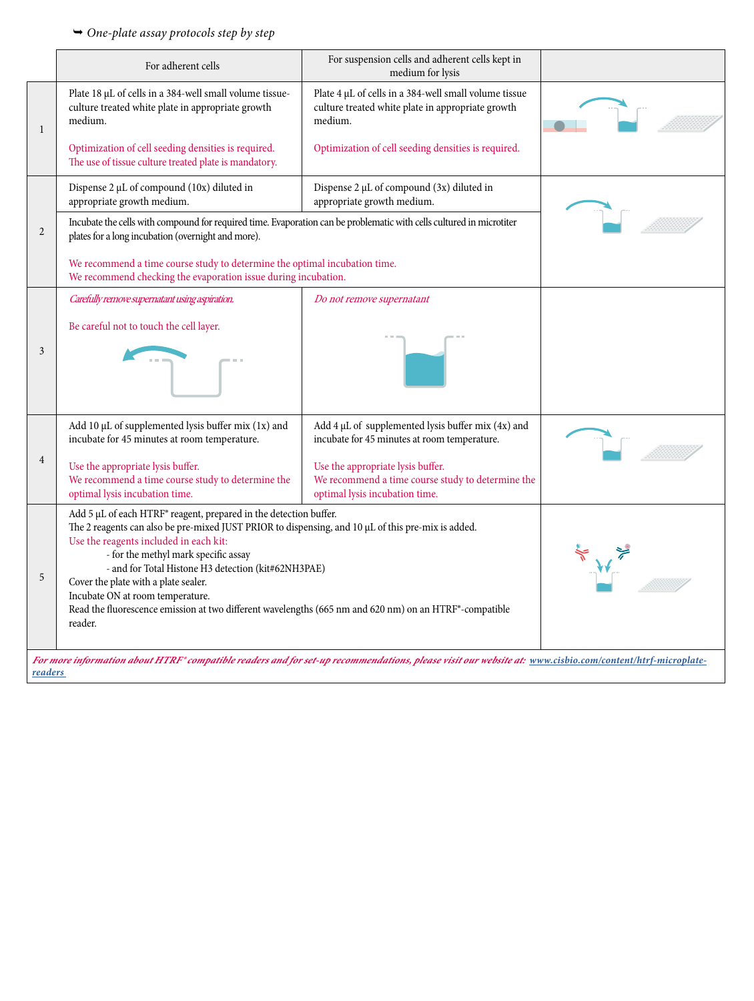|                | For adherent cells                                                                                                                                                                                                                                                                                                                                                                                                                                                                                                | For suspension cells and adherent cells kept in<br>medium for lysis                                                      |  |
|----------------|-------------------------------------------------------------------------------------------------------------------------------------------------------------------------------------------------------------------------------------------------------------------------------------------------------------------------------------------------------------------------------------------------------------------------------------------------------------------------------------------------------------------|--------------------------------------------------------------------------------------------------------------------------|--|
| 1              | Plate 18 µL of cells in a 384-well small volume tissue-<br>culture treated white plate in appropriate growth<br>medium.                                                                                                                                                                                                                                                                                                                                                                                           | Plate 4 µL of cells in a 384-well small volume tissue<br>culture treated white plate in appropriate growth<br>medium.    |  |
|                | Optimization of cell seeding densities is required.<br>The use of tissue culture treated plate is mandatory.                                                                                                                                                                                                                                                                                                                                                                                                      | Optimization of cell seeding densities is required.                                                                      |  |
|                | Dispense 2 µL of compound (10x) diluted in<br>appropriate growth medium.                                                                                                                                                                                                                                                                                                                                                                                                                                          | Dispense 2 µL of compound (3x) diluted in<br>appropriate growth medium.                                                  |  |
| $\overline{2}$ | Incubate the cells with compound for required time. Evaporation can be problematic with cells cultured in microtiter<br>plates for a long incubation (overnight and more).                                                                                                                                                                                                                                                                                                                                        |                                                                                                                          |  |
|                | We recommend a time course study to determine the optimal incubation time.<br>We recommend checking the evaporation issue during incubation.                                                                                                                                                                                                                                                                                                                                                                      |                                                                                                                          |  |
|                | Carefully remove supernatant using aspiration.                                                                                                                                                                                                                                                                                                                                                                                                                                                                    | Do not remove supernatant                                                                                                |  |
|                | Be careful not to touch the cell layer.                                                                                                                                                                                                                                                                                                                                                                                                                                                                           |                                                                                                                          |  |
| 3              |                                                                                                                                                                                                                                                                                                                                                                                                                                                                                                                   |                                                                                                                          |  |
|                | Add 10 µL of supplemented lysis buffer mix (1x) and<br>incubate for 45 minutes at room temperature.                                                                                                                                                                                                                                                                                                                                                                                                               | Add 4 µL of supplemented lysis buffer mix (4x) and<br>incubate for 45 minutes at room temperature.                       |  |
| 4              | Use the appropriate lysis buffer.<br>We recommend a time course study to determine the<br>optimal lysis incubation time.                                                                                                                                                                                                                                                                                                                                                                                          | Use the appropriate lysis buffer.<br>We recommend a time course study to determine the<br>optimal lysis incubation time. |  |
| 5              | Add 5 µL of each HTRF® reagent, prepared in the detection buffer.<br>The 2 reagents can also be pre-mixed JUST PRIOR to dispensing, and 10 µL of this pre-mix is added.<br>Use the reagents included in each kit:<br>- for the methyl mark specific assay<br>- and for Total Histone H3 detection (kit#62NH3PAE)<br>Cover the plate with a plate sealer.<br>Incubate ON at room temperature.<br>Read the fluorescence emission at two different wavelengths (665 nm and 620 nm) on an HTRF®-compatible<br>reader. |                                                                                                                          |  |
|                |                                                                                                                                                                                                                                                                                                                                                                                                                                                                                                                   |                                                                                                                          |  |
| readers        | For more information about HTRF® compatible readers and for set-up recommendations, please visit our website at: www.cisbio.com/content/htrf-microplate-                                                                                                                                                                                                                                                                                                                                                          |                                                                                                                          |  |